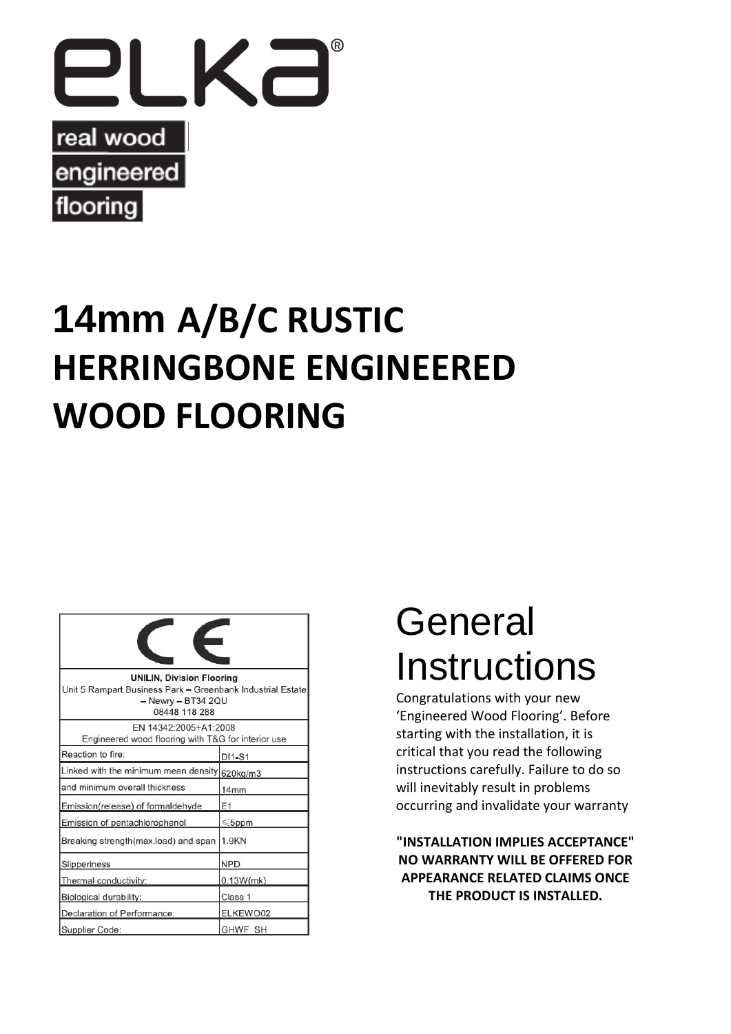

# **14mm A/B/C RUSTIC HERRINGBONE ENGINEERED WOOD FLOORING**

| <b>UNILIN, Division Flooring</b><br>Unit 5 Rampart Business Park - Greenbank Industrial Estate<br>$-$ Newry $-$ BT34 2QU<br>08448 118 288 |                  |
|-------------------------------------------------------------------------------------------------------------------------------------------|------------------|
| EN 14342:2005+A1:2008<br>Engineered wood flooring with T&G for interior use                                                               |                  |
| Reaction to fire:                                                                                                                         | Df1-S1           |
| Linked with the minimum mean density 620kg/m3                                                                                             |                  |
| and minimum overall thickness                                                                                                             | 14 <sub>mm</sub> |
| Emission(release) of formaldehyde                                                                                                         | E <sub>1</sub>   |
| Emission of pentachlorophenol                                                                                                             | $\leqslant$ 5ppm |
| Breaking strength(max.load) and span                                                                                                      | 1.9KN            |
| Slipperiness                                                                                                                              | <b>NPD</b>       |
| Thermal conductivity:                                                                                                                     | 0.13W(mk)        |
| Biological durability:                                                                                                                    | Class 1          |
| Declaration of Performance:                                                                                                               | ELKEWO02         |
| Supplier Code:                                                                                                                            | GHWF SH          |

# General **Instructions**

Congratulations with your new 'Engineered Wood Flooring'. Before starting with the installation, it is critical that you read the following instructions carefully. Failure to do so will inevitably result in problems occurring and invalidate your warranty

**"INSTALLATION IMPLIES ACCEPTANCE" NO WARRANTY WILL BE OFFERED FOR APPEARANCE RELATED CLAIMS ONCE THE PRODUCT IS INSTALLED.**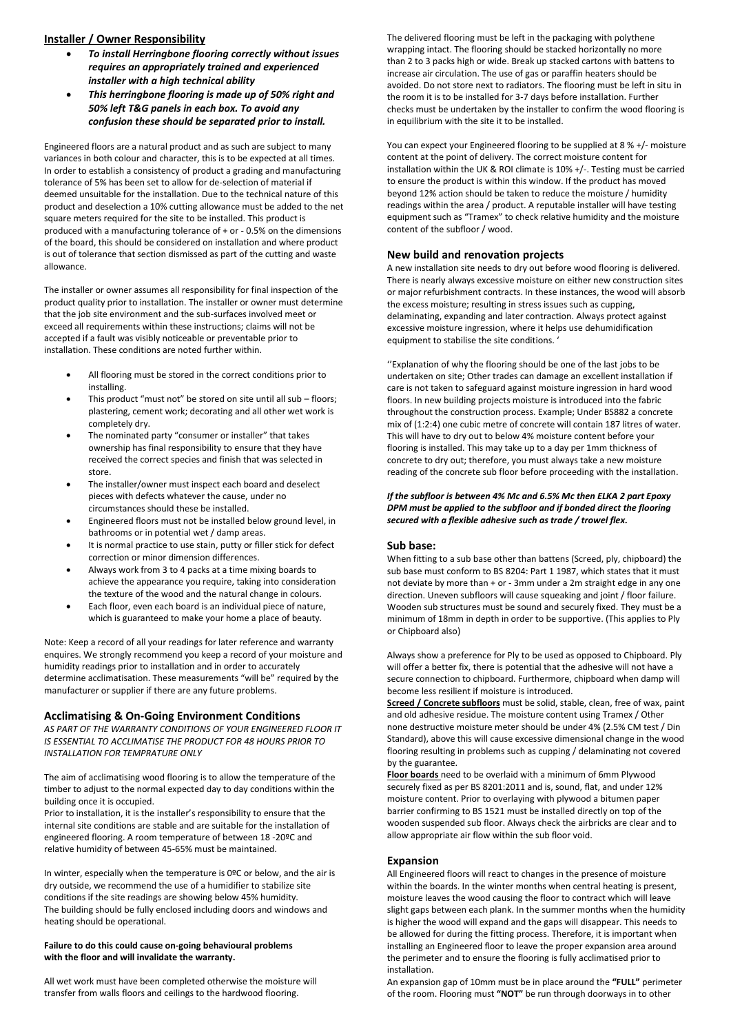# **Installer / Owner Responsibility**

- *To install Herringbone flooring correctly without issues requires an appropriately trained and experienced installer with a high technical ability*
- *This herringbone flooring is made up of 50% right and 50% left T&G panels in each box. To avoid any confusion these should be separated prior to install.*

Engineered floors are a natural product and as such are subject to many variances in both colour and character, this is to be expected at all times. In order to establish a consistency of product a grading and manufacturing tolerance of 5% has been set to allow for de-selection of material if deemed unsuitable for the installation. Due to the technical nature of this product and deselection a 10% cutting allowance must be added to the net square meters required for the site to be installed. This product is produced with a manufacturing tolerance of + or - 0.5% on the dimensions of the board, this should be considered on installation and where product is out of tolerance that section dismissed as part of the cutting and waste allowance.

The installer or owner assumes all responsibility for final inspection of the product quality prior to installation. The installer or owner must determine that the job site environment and the sub-surfaces involved meet or exceed all requirements within these instructions; claims will not be accepted if a fault was visibly noticeable or preventable prior to installation. These conditions are noted further within.

- All flooring must be stored in the correct conditions prior to installing.
- This product "must not" be stored on site until all sub floors; plastering, cement work; decorating and all other wet work is completely dry.
- The nominated party "consumer or installer" that takes ownership has final responsibility to ensure that they have received the correct species and finish that was selected in store.
- The installer/owner must inspect each board and deselect pieces with defects whatever the cause, under no circumstances should these be installed.
- Engineered floors must not be installed below ground level, in bathrooms or in potential wet / damp areas.
- It is normal practice to use stain, putty or filler stick for defect correction or minor dimension differences.
- Always work from 3 to 4 packs at a time mixing boards to achieve the appearance you require, taking into consideration the texture of the wood and the natural change in colours.
- Each floor, even each board is an individual piece of nature, which is guaranteed to make your home a place of beauty.

Note: Keep a record of all your readings for later reference and warranty enquires. We strongly recommend you keep a record of your moisture and humidity readings prior to installation and in order to accurately determine acclimatisation. These measurements "will be" required by the manufacturer or supplier if there are any future problems.

# **Acclimatising & On-Going Environment Conditions**

*AS PART OF THE WARRANTY CONDITIONS OF YOUR ENGINEERED FLOOR IT IS ESSENTIAL TO ACCLIMATISE THE PRODUCT FOR 48 HOURS PRIOR TO INSTALLATION FOR TEMPRATURE ONLY*

The aim of acclimatising wood flooring is to allow the temperature of the timber to adjust to the normal expected day to day conditions within the building once it is occupied.

Prior to installation, it is the installer's responsibility to ensure that the internal site conditions are stable and are suitable for the installation of engineered flooring. A room temperature of between 18 -20ºC and relative humidity of between 45-65% must be maintained.

In winter, especially when the temperature is 0ºC or below, and the air is dry outside, we recommend the use of a humidifier to stabilize site conditions if the site readings are showing below 45% humidity. The building should be fully enclosed including doors and windows and heating should be operational.

#### **Failure to do this could cause on-going behavioural problems with the floor and will invalidate the warranty.**

All wet work must have been completed otherwise the moisture will transfer from walls floors and ceilings to the hardwood flooring.

The delivered flooring must be left in the packaging with polythene wrapping intact. The flooring should be stacked horizontally no more than 2 to 3 packs high or wide. Break up stacked cartons with battens to increase air circulation. The use of gas or paraffin heaters should be avoided. Do not store next to radiators. The flooring must be left in situ in the room it is to be installed for 3-7 days before installation. Further checks must be undertaken by the installer to confirm the wood flooring is in equilibrium with the site it to be installed.

You can expect your Engineered flooring to be supplied at 8 % +/- moisture content at the point of delivery. The correct moisture content for installation within the UK & ROI climate is 10% +/-. Testing must be carried to ensure the product is within this window. If the product has moved beyond 12% action should be taken to reduce the moisture / humidity readings within the area / product. A reputable installer will have testing equipment such as "Tramex" to check relative humidity and the moisture content of the subfloor / wood.

# **New build and renovation projects**

A new installation site needs to dry out before wood flooring is delivered. There is nearly always excessive moisture on either new construction sites or major refurbishment contracts. In these instances, the wood will absorb the excess moisture; resulting in stress issues such as cupping, delaminating, expanding and later contraction. Always protect against excessive moisture ingression, where it helps use dehumidification equipment to stabilise the site conditions. '

''Explanation of why the flooring should be one of the last jobs to be undertaken on site; Other trades can damage an excellent installation if care is not taken to safeguard against moisture ingression in hard wood floors. In new building projects moisture is introduced into the fabric throughout the construction process. Example; Under BS882 a concrete mix of (1:2:4) one cubic metre of concrete will contain 187 litres of water. This will have to dry out to below 4% moisture content before your flooring is installed. This may take up to a day per 1mm thickness of concrete to dry out; therefore, you must always take a new moisture reading of the concrete sub floor before proceeding with the installation.

#### *If the subfloor is between 4% Mc and 6.5% Mc then ELKA 2 part Epoxy DPM must be applied to the subfloor and if bonded direct the flooring secured with a flexible adhesive such as trade / trowel flex.*

#### **Sub base:**

When fitting to a sub base other than battens (Screed, ply, chipboard) the sub base must conform to BS 8204: Part 1 1987, which states that it must not deviate by more than + or - 3mm under a 2m straight edge in any one direction. Uneven subfloors will cause squeaking and joint / floor failure. Wooden sub structures must be sound and securely fixed. They must be a minimum of 18mm in depth in order to be supportive. (This applies to Ply or Chipboard also)

Always show a preference for Ply to be used as opposed to Chipboard. Ply will offer a better fix, there is potential that the adhesive will not have a secure connection to chipboard. Furthermore, chipboard when damp will become less resilient if moisture is introduced.

**Screed / Concrete subfloors** must be solid, stable, clean, free of wax, paint and old adhesive residue. The moisture content using Tramex / Other none destructive moisture meter should be under 4% (2.5% CM test / Din Standard), above this will cause excessive dimensional change in the wood flooring resulting in problems such as cupping / delaminating not covered by the guarantee.

**Floor boards** need to be overlaid with a minimum of 6mm Plywood securely fixed as per BS 8201:2011 and is, sound, flat, and under 12% moisture content. Prior to overlaying with plywood a bitumen paper barrier confirming to BS 1521 must be installed directly on top of the wooden suspended sub floor. Always check the airbricks are clear and to allow appropriate air flow within the sub floor void.

#### **Expansion**

All Engineered floors will react to changes in the presence of moisture within the boards. In the winter months when central heating is present, moisture leaves the wood causing the floor to contract which will leave slight gaps between each plank. In the summer months when the humidity is higher the wood will expand and the gaps will disappear. This needs to be allowed for during the fitting process. Therefore, it is important when installing an Engineered floor to leave the proper expansion area around the perimeter and to ensure the flooring is fully acclimatised prior to installation.

An expansion gap of 10mm must be in place around the **"FULL"** perimeter of the room. Flooring must **"NOT"** be run through doorways in to other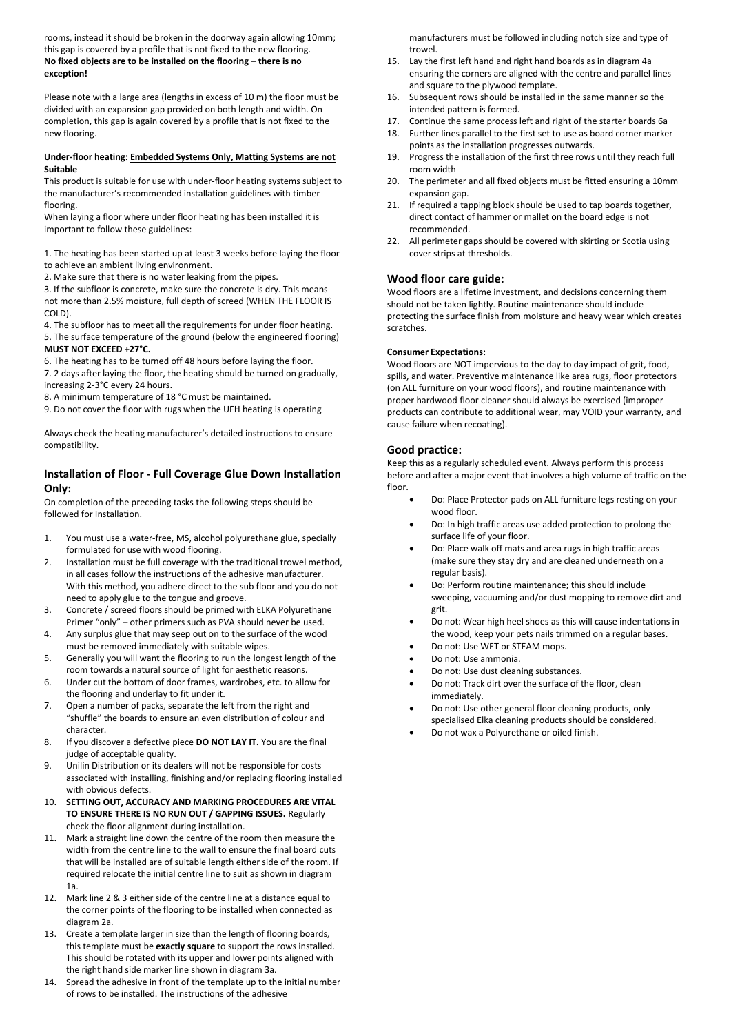rooms, instead it should be broken in the doorway again allowing 10mm; this gap is covered by a profile that is not fixed to the new flooring. **No fixed objects are to be installed on the flooring – there is no exception!**

Please note with a large area (lengths in excess of 10 m) the floor must be divided with an expansion gap provided on both length and width. On completion, this gap is again covered by a profile that is not fixed to the new flooring.

#### **Under-floor heating: Embedded Systems Only, Matting Systems are not Suitable**

This product is suitable for use with under-floor heating systems subject to the manufacturer's recommended installation guidelines with timber flooring.

When laying a floor where under floor heating has been installed it is important to follow these guidelines:

1. The heating has been started up at least 3 weeks before laying the floor to achieve an ambient living environment.

2. Make sure that there is no water leaking from the pipes.

3. If the subfloor is concrete, make sure the concrete is dry. This means not more than 2.5% moisture, full depth of screed (WHEN THE FLOOR IS COLD).

4. The subfloor has to meet all the requirements for under floor heating. 5. The surface temperature of the ground (below the engineered flooring) **MUST NOT EXCEED +27°C.**

6. The heating has to be turned off 48 hours before laying the floor.

7. 2 days after laying the floor, the heating should be turned on gradually, increasing 2-3°C every 24 hours.

8. A minimum temperature of 18 °C must be maintained.

9. Do not cover the floor with rugs when the UFH heating is operating

Always check the heating manufacturer's detailed instructions to ensure compatibility.

# **Installation of Floor - Full Coverage Glue Down Installation Only:**

On completion of the preceding tasks the following steps should be followed for Installation.

- 1. You must use a water-free, MS, alcohol polyurethane glue, specially formulated for use with wood flooring.
- 2. Installation must be full coverage with the traditional trowel method, in all cases follow the instructions of the adhesive manufacturer. With this method, you adhere direct to the sub floor and you do not need to apply glue to the tongue and groove.
- 3. Concrete / screed floors should be primed with ELKA Polyurethane Primer "only" – other primers such as PVA should never be used.
- 4. Any surplus glue that may seep out on to the surface of the wood must be removed immediately with suitable wipes.
- 5. Generally you will want the flooring to run the longest length of the room towards a natural source of light for aesthetic reasons.
- 6. Under cut the bottom of door frames, wardrobes, etc. to allow for the flooring and underlay to fit under it.
- 7. Open a number of packs, separate the left from the right and "shuffle" the boards to ensure an even distribution of colour and character.
- 8. If you discover a defective piece **DO NOT LAY IT.** You are the final judge of acceptable quality.
- 9. Unilin Distribution or its dealers will not be responsible for costs associated with installing, finishing and/or replacing flooring installed with obvious defects.
- 10. **SETTING OUT, ACCURACY AND MARKING PROCEDURES ARE VITAL TO ENSURE THERE IS NO RUN OUT / GAPPING ISSUES.** Regularly check the floor alignment during installation.
- 11. Mark a straight line down the centre of the room then measure the width from the centre line to the wall to ensure the final board cuts that will be installed are of suitable length either side of the room. If required relocate the initial centre line to suit as shown in diagram 1a.
- 12. Mark line 2 & 3 either side of the centre line at a distance equal to the corner points of the flooring to be installed when connected as diagram 2a.
- 13. Create a template larger in size than the length of flooring boards, this template must be **exactly square** to support the rows installed. This should be rotated with its upper and lower points aligned with the right hand side marker line shown in diagram 3a.
- 14. Spread the adhesive in front of the template up to the initial number of rows to be installed. The instructions of the adhesive

manufacturers must be followed including notch size and type of trowel.

- 15. Lay the first left hand and right hand boards as in diagram 4a ensuring the corners are aligned with the centre and parallel lines and square to the plywood template.
- 16. Subsequent rows should be installed in the same manner so the intended pattern is formed.
- 17. Continue the same process left and right of the starter boards 6a
- 18. Further lines parallel to the first set to use as board corner marker points as the installation progresses outwards.
- 19. Progress the installation of the first three rows until they reach full room width
- 20. The perimeter and all fixed objects must be fitted ensuring a 10mm expansion gap.
- 21. If required a tapping block should be used to tap boards together, direct contact of hammer or mallet on the board edge is not recommended.
- 22. All perimeter gaps should be covered with skirting or Scotia using cover strips at thresholds.

### **Wood floor care guide:**

Wood floors are a lifetime investment, and decisions concerning them should not be taken lightly. Routine maintenance should include protecting the surface finish from moisture and heavy wear which creates scratches.

#### **Consumer Expectations:**

Wood floors are NOT impervious to the day to day impact of grit, food, spills, and water. Preventive maintenance like area rugs, floor protectors (on ALL furniture on your wood floors), and routine maintenance with proper hardwood floor cleaner should always be exercised (improper products can contribute to additional wear, may VOID your warranty, and cause failure when recoating).

# **Good practice:**

Keep this as a regularly scheduled event. Always perform this process before and after a major event that involves a high volume of traffic on the floor.

- Do: Place Protector pads on ALL furniture legs resting on your wood floor.
- Do: In high traffic areas use added protection to prolong the surface life of your floor.
- Do: Place walk off mats and area rugs in high traffic areas (make sure they stay dry and are cleaned underneath on a regular basis).
- Do: Perform routine maintenance; this should include sweeping, vacuuming and/or dust mopping to remove dirt and grit.
- Do not: Wear high heel shoes as this will cause indentations in the wood, keep your pets nails trimmed on a regular bases.
- Do not: Use WET or STEAM mops.
- Do not: Use ammonia.
- Do not: Use dust cleaning substances.
- Do not: Track dirt over the surface of the floor, clean immediately.
- Do not: Use other general floor cleaning products, only specialised Elka cleaning products should be considered.
- Do not wax a Polyurethane or oiled finish.